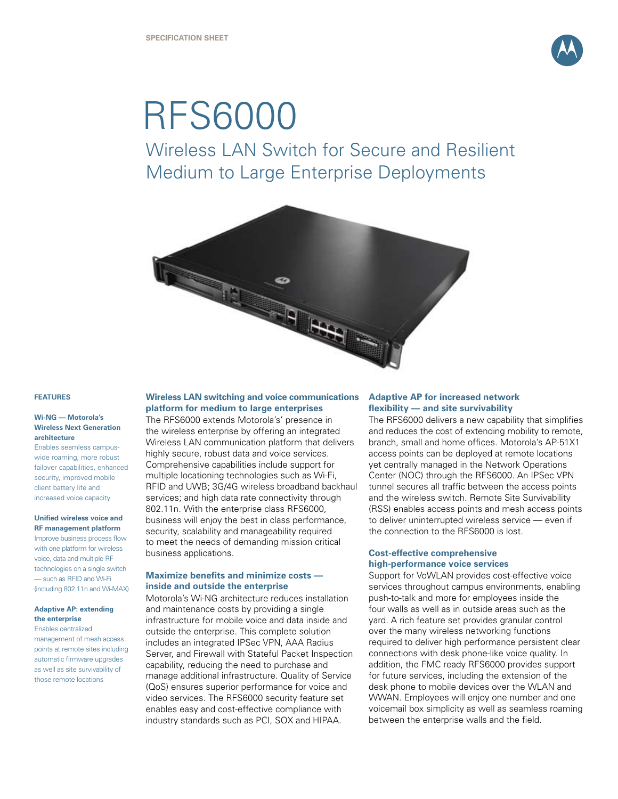

# RFS6000

Wireless LAN Switch for Secure and Resilient Medium to Large Enterprise Deployments



#### **FEATURES**

#### **Wi-NG — Motorola's Wireless Next Generation architecture**

Enables seamless campuswide roaming, more robust failover capabilities, enhanced security, improved mobile client battery life and increased voice capacity

#### **Unified wireless voice and RF management platform** Improve business process flow with one platform for wireless voice, data and multiple RF

technologies on a single switch — such as RFID and Wi-Fi (including 802.11n and Wi-MAX)

#### **Adaptive AP: extending the enterprise**

Enables centralized management of mesh access points at remote sites including automatic firmware upgrades as well as site survivability of those remote locations

#### **Wireless LAN switching and voice communications platform for medium to large enterprises**

The RFS6000 extends Motorola's' presence in the wireless enterprise by offering an integrated Wireless LAN communication platform that delivers highly secure, robust data and voice services. Comprehensive capabilities include support for multiple locationing technologies such as Wi-Fi, RFID and UWB; 3G/4G wireless broadband backhaul services; and high data rate connectivity through 802.11n. With the enterprise class RFS6000, business will enjoy the best in class performance, security, scalability and manageability required to meet the needs of demanding mission critical business applications.

#### **Maximize benefits and minimize costs inside and outside the enterprise**

Motorola's Wi-NG architecture reduces installation and maintenance costs by providing a single infrastructure for mobile voice and data inside and outside the enterprise. This complete solution includes an integrated IPSec VPN, AAA Radius Server, and Firewall with Stateful Packet Inspection capability, reducing the need to purchase and manage additional infrastructure. Quality of Service (QoS) ensures superior performance for voice and video services. The RFS6000 security feature set enables easy and cost-effective compliance with industry standards such as PCI, SOX and HIPAA.

#### **Adaptive AP for increased network flexibility — and site survivability**

The RFS6000 delivers a new capability that simplifies and reduces the cost of extending mobility to remote, branch, small and home offices. Motorola's AP-51X1 access points can be deployed at remote locations yet centrally managed in the Network Operations Center (NOC) through the RFS6000. An IPSec VPN tunnel secures all traffic between the access points and the wireless switch. Remote Site Survivability (RSS) enables access points and mesh access points to deliver uninterrupted wireless service — even if the connection to the RFS6000 is lost.

#### **Cost-effective comprehensive high-performance voice services**

Support for VoWLAN provides cost-effective voice services throughout campus environments, enabling push-to-talk and more for employees inside the four walls as well as in outside areas such as the yard. A rich feature set provides granular control over the many wireless networking functions required to deliver high performance persistent clear connections with desk phone-like voice quality. In addition, the FMC ready RFS6000 provides support for future services, including the extension of the desk phone to mobile devices over the WLAN and WWAN. Employees will enjoy one number and one voicemail box simplicity as well as seamless roaming between the enterprise walls and the field.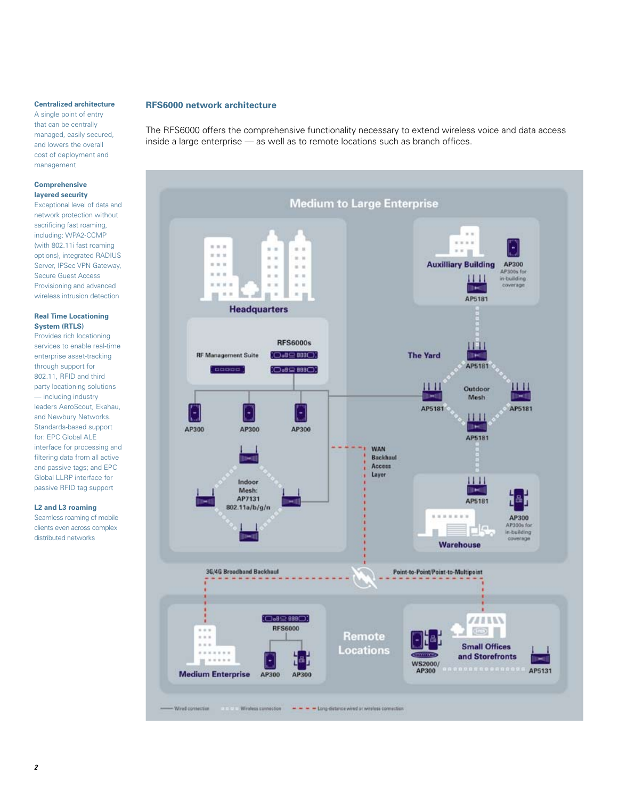#### **Centralized architecture**

A single point of entry that can be centrally managed, easily secured, and lowers the overall cost of deployment and management

#### **Comprehensive layered security**

Exceptional level of data and network protection without sacrificing fast roaming, including: WPA2-CCMP (with 802.11i fast roaming options), integrated RADIUS Server, IPSec VPN Gateway, Secure Guest Access Provisioning and advanced wireless intrusion detection

#### **Real Time Locationing System (RTLS)**

Provides rich locationing services to enable real-time enterprise asset-tracking through support for 802.11, RFID and third party locationing solutions — including industry leaders AeroScout, Ekahau, and Newbury Networks. Standards-based support for: EPC Global ALE interface for processing and filtering data from all active and passive tags; and EPC Global LLRP interface for passive RFID tag support

#### **L2 and L3 roaming**

Seamless roaming of mobile clients even across complex distributed networks

### **RFS6000 network architecture**

The RFS6000 offers the comprehensive functionality necessary to extend wireless voice and data access inside a large enterprise — as well as to remote locations such as branch offices.

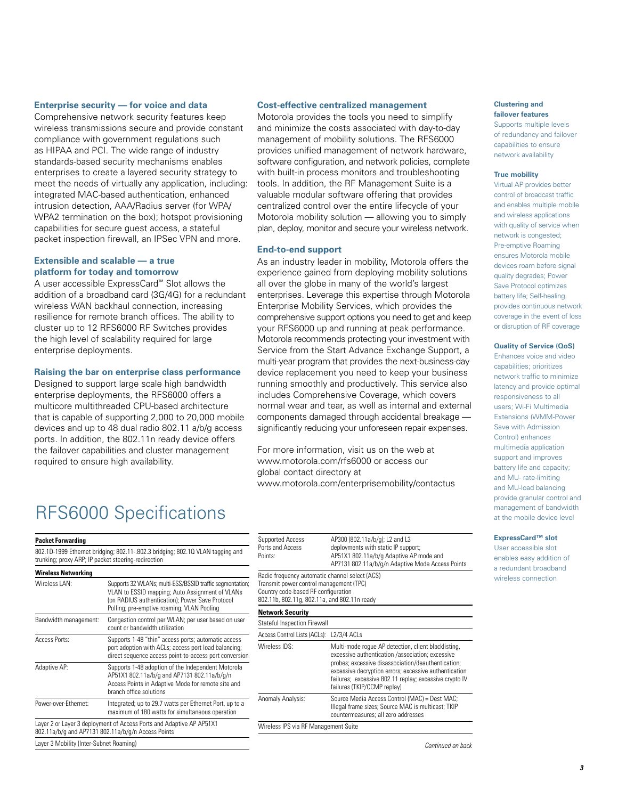#### **Enterprise security — for voice and data**

Comprehensive network security features keep wireless transmissions secure and provide constant compliance with government regulations such as HIPAA and PCI. The wide range of industry standards-based security mechanisms enables enterprises to create a layered security strategy to meet the needs of virtually any application, including: integrated MAC-based authentication, enhanced intrusion detection, AAA/Radius server (for WPA/ WPA2 termination on the box); hotspot provisioning capabilities for secure guest access, a stateful packet inspection firewall, an IPSec VPN and more.

#### **Extensible and scalable — a true platform for today and tomorrow**

A user accessible ExpressCard™ Slot allows the addition of a broadband card (3G/4G) for a redundant wireless WAN backhaul connection, increasing resilience for remote branch offices. The ability to cluster up to 12 RFS6000 RF Switches provides the high level of scalability required for large enterprise deployments.

#### **Raising the bar on enterprise class performance**

Designed to support large scale high bandwidth enterprise deployments, the RFS6000 offers a multicore multithreaded CPU-based architecture that is capable of supporting 2,000 to 20,000 mobile devices and up to 48 dual radio 802.11 a/b/g access ports. In addition, the 802.11n ready device offers the failover capabilities and cluster management required to ensure high availability.

#### **Cost-effective centralized management**

Motorola provides the tools you need to simplify and minimize the costs associated with day-to-day management of mobility solutions. The RFS6000 provides unified management of network hardware, software configuration, and network policies, complete with built-in process monitors and troubleshooting tools. In addition, the RF Management Suite is a valuable modular software offering that provides centralized control over the entire lifecycle of your Motorola mobility solution — allowing you to simply plan, deploy, monitor and secure your wireless network.

#### **End-to-end support**

As an industry leader in mobility, Motorola offers the experience gained from deploying mobility solutions all over the globe in many of the world's largest enterprises. Leverage this expertise through Motorola Enterprise Mobility Services, which provides the comprehensive support options you need to get and keep your RFS6000 up and running at peak performance. Motorola recommends protecting your investment with Service from the Start Advance Exchange Support, a multi-year program that provides the next-business-day device replacement you need to keep your business running smoothly and productively. This service also includes Comprehensive Coverage, which covers normal wear and tear, as well as internal and external components damaged through accidental breakage significantly reducing your unforeseen repair expenses.

For more information, visit us on the web at www.motorola.com/rfs6000 or access our global contact directory at www.motorola.com/enterprisemobility/contactus

Virtual AP provides better control of broadcast traffic and enables multiple mobile and wireless applications with quality of service when network is congested; Pre-emptive Roaming ensures Motorola mobile devices roam before signal quality degrades; Power Save Protocol optimizes battery life; Self-healing provides continuous network coverage in the event of loss or disruption of RF coverage

**Clustering and failover features** Supports multiple levels of redundancy and failover capabilities to ensure network availability

**True mobility**

#### **Quality of Service (QoS)**

Enhances voice and video capabilities; prioritizes network traffic to minimize latency and provide optimal responsiveness to all users; Wi-Fi Multimedia Extensions (WMM-Power Save with Admission Control) enhances multimedia application support and improves battery life and capacity; and MU- rate-limiting and MU-load balancing provide granular control and management of bandwidth at the mobile device level

#### **ExpressCard™ slot**

User accessible slot enables easy addition of a redundant broadband wireless connection

## RFS6000 Specifications

| <b>Packet Forwarding</b>                                                                                                              |                                                                                                                                                                                                              | Supported Access                                                                                                                                                                                            | AP300 (802.11a/b/g); L2 and L3                                                                                                                                                                                                                                                                                  |
|---------------------------------------------------------------------------------------------------------------------------------------|--------------------------------------------------------------------------------------------------------------------------------------------------------------------------------------------------------------|-------------------------------------------------------------------------------------------------------------------------------------------------------------------------------------------------------------|-----------------------------------------------------------------------------------------------------------------------------------------------------------------------------------------------------------------------------------------------------------------------------------------------------------------|
| 802.1D-1999 Ethernet bridging; 802.11-.802.3 bridging; 802.10 VLAN tagging and<br>trunking; proxy ARP; IP packet steering-redirection |                                                                                                                                                                                                              | Ports and Access<br>Points:                                                                                                                                                                                 | deployments with static IP support;<br>AP51X1 802.11a/b/g Adaptive AP mode and<br>AP7131 802.11a/b/q/n Adaptive Mode Access Points                                                                                                                                                                              |
| <b>Wireless Networking</b>                                                                                                            |                                                                                                                                                                                                              | Radio frequency automatic channel select (ACS)<br>Transmit power control management (TPC)<br>Country code-based RF configuration<br>802.11b, 802.11g, 802.11a, and 802.11n ready<br><b>Network Security</b> |                                                                                                                                                                                                                                                                                                                 |
| Wireless   AN:                                                                                                                        | Supports 32 WLANs; multi-ESS/BSSID traffic segmentation;<br>VLAN to ESSID mapping; Auto Assignment of VLANs<br>(on RADIUS authentication); Power Save Protocol<br>Polling; pre-emptive roaming; VLAN Pooling |                                                                                                                                                                                                             |                                                                                                                                                                                                                                                                                                                 |
| Bandwidth management:                                                                                                                 | Congestion control per WLAN; per user based on user<br>count or bandwidth utilization                                                                                                                        | Stateful Inspection Firewall                                                                                                                                                                                |                                                                                                                                                                                                                                                                                                                 |
|                                                                                                                                       |                                                                                                                                                                                                              | Access Control Lists (ACLs): L2/3/4 ACLs                                                                                                                                                                    |                                                                                                                                                                                                                                                                                                                 |
| Access Ports:                                                                                                                         | Supports 1-48 "thin" access ports; automatic access<br>port adoption with ACLs; access port load balancing;<br>direct sequence access point-to-access port conversion                                        | Wireless IDS:                                                                                                                                                                                               | Multi-mode roque AP detection, client blacklisting,<br>excessive authentication /association; excessive<br>probes; excessive disassociation/deauthentication;<br>excessive decryption errors; excessive authentication<br>failures; excessive 802.11 replay; excessive crypto IV<br>failures (TKIP/CCMP replay) |
| Adaptive AP:                                                                                                                          | Supports 1-48 adoption of the Independent Motorola<br>AP51X1 802.11a/b/q and AP7131 802.11a/b/q/n<br>Access Points in Adaptive Mode for remote site and<br>branch office solutions                           |                                                                                                                                                                                                             |                                                                                                                                                                                                                                                                                                                 |
| Power-over-Ethernet:                                                                                                                  | Integrated; up to 29.7 watts per Ethernet Port, up to a<br>maximum of 180 watts for simultaneous operation                                                                                                   | Anomaly Analysis:                                                                                                                                                                                           | Source Media Access Control (MAC) = Dest MAC;<br>Illegal frame sizes; Source MAC is multicast; TKIP<br>countermeasures; all zero addresses                                                                                                                                                                      |
| Layer 2 or Layer 3 deployment of Access Ports and Adaptive AP AP51X1<br>802.11a/b/q and AP7131 802.11a/b/q/n Access Points            |                                                                                                                                                                                                              | Wireless IPS via RF Management Suite                                                                                                                                                                        |                                                                                                                                                                                                                                                                                                                 |
| Layer 3 Mobility (Inter-Subnet Roaming)                                                                                               |                                                                                                                                                                                                              |                                                                                                                                                                                                             | Continued on bad                                                                                                                                                                                                                                                                                                |

*Continued on back*